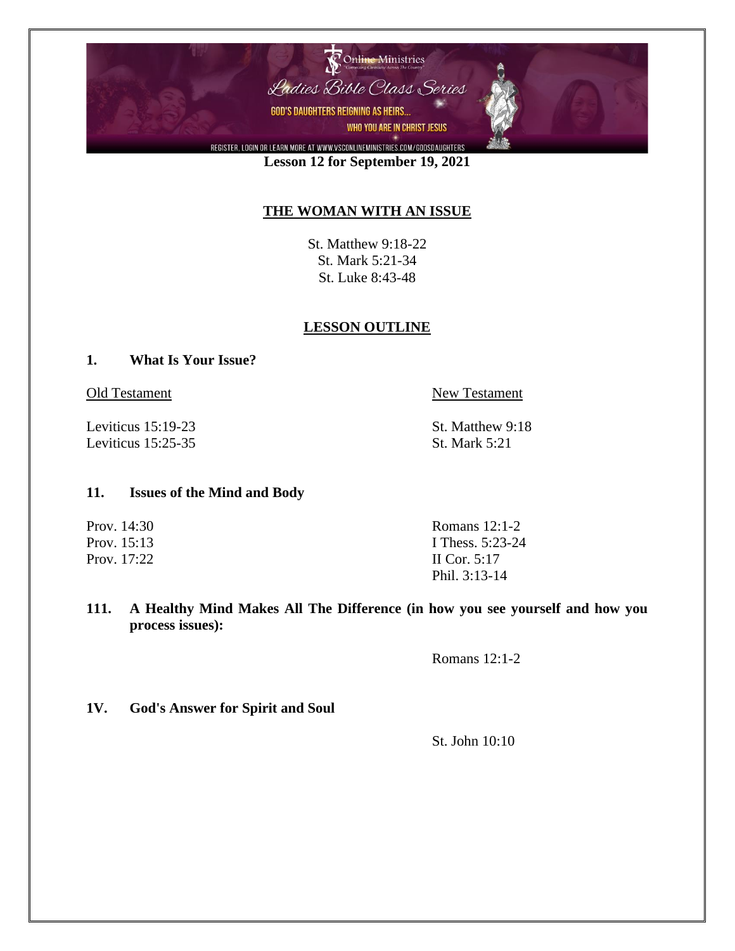

**Lesson 12 for September 19, 2021**

## **THE WOMAN WITH AN ISSUE**

St. Matthew 9:18-22 St. Mark 5:21-34 St. Luke 8:43-48

### **LESSON OUTLINE**

#### **1. What Is Your Issue?**

Leviticus 15:19-23 St. Matthew 9:18 Leviticus 15:25-35 St. Mark 5:21

Old Testament New Testament

#### **11. Issues of the Mind and Body**

Prov. 14:30 Romans 12:1-2 Prov. 15:13 I Thess. 5:23-24 Prov. 17:22 II Cor. 5:17 Phil. 3:13-14

**111. A Healthy Mind Makes All The Difference (in how you see yourself and how you process issues):**

Romans 12:1-2

**1V. God's Answer for Spirit and Soul**

St. John 10:10